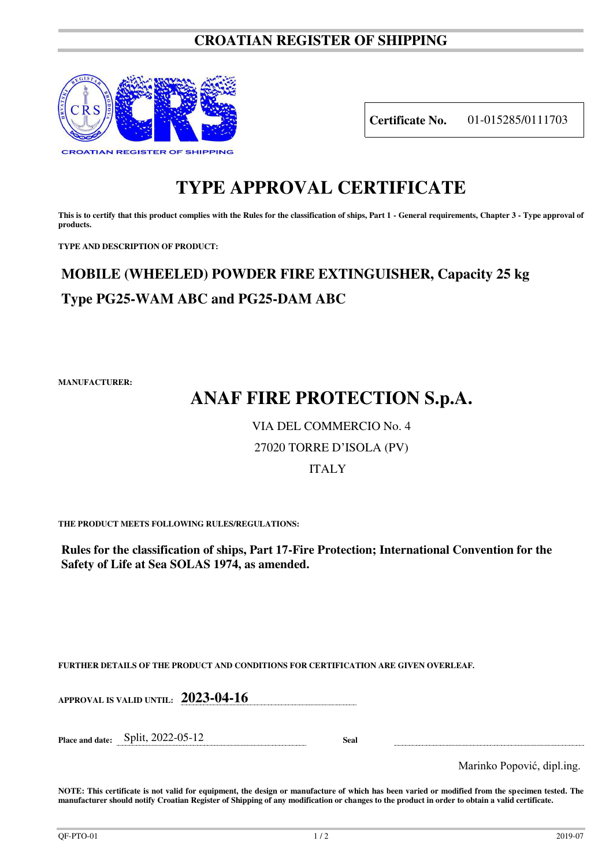### **CROATIAN REGISTER OF SHIPPING**



**Certificate No.** 01-015285/0111703

## **TYPE APPROVAL CERTIFICATE**

This is to certify that this product complies with the Rules for the classification of ships, Part 1 - General requirements, Chapter 3 - Type approval of **products.** 

**TYPE AND DESCRIPTION OF PRODUCT:** 

## **MOBILE (WHEELED) POWDER FIRE EXTINGUISHER, Capacity 25 kg Type PG25-WAM ABC and PG25-DAM ABC**

**MANUFACTURER:**

# **ANAF FIRE PROTECTION S.p.A.**

### VIA DEL COMMERCIO No. 4

### 27020 TORRE D'ISOLA (PV)

### ITALY

**THE PRODUCT MEETS FOLLOWING RULES/REGULATIONS:**

**Rules for the classification of ships, Part 17-Fire Protection; International Convention for the Safety of Life at Sea SOLAS 1974, as amended.**

**FURTHER DETAILS OF THE PRODUCT AND CONDITIONS FOR CERTIFICATION ARE GIVEN OVERLEAF.**

**APPROVAL IS VALID UNTIL: 2023-04-16**

**Place and date:** Split, 2022-05-12 **Seal** 

Marinko Popović, dipl.ing.

**NOTE: This certificate is not valid for equipment, the design or manufacture of which has been varied or modified from the specimen tested. The manufacturer should notify Croatian Register of Shipping of any modification or changes to the product in order to obtain a valid certificate.**